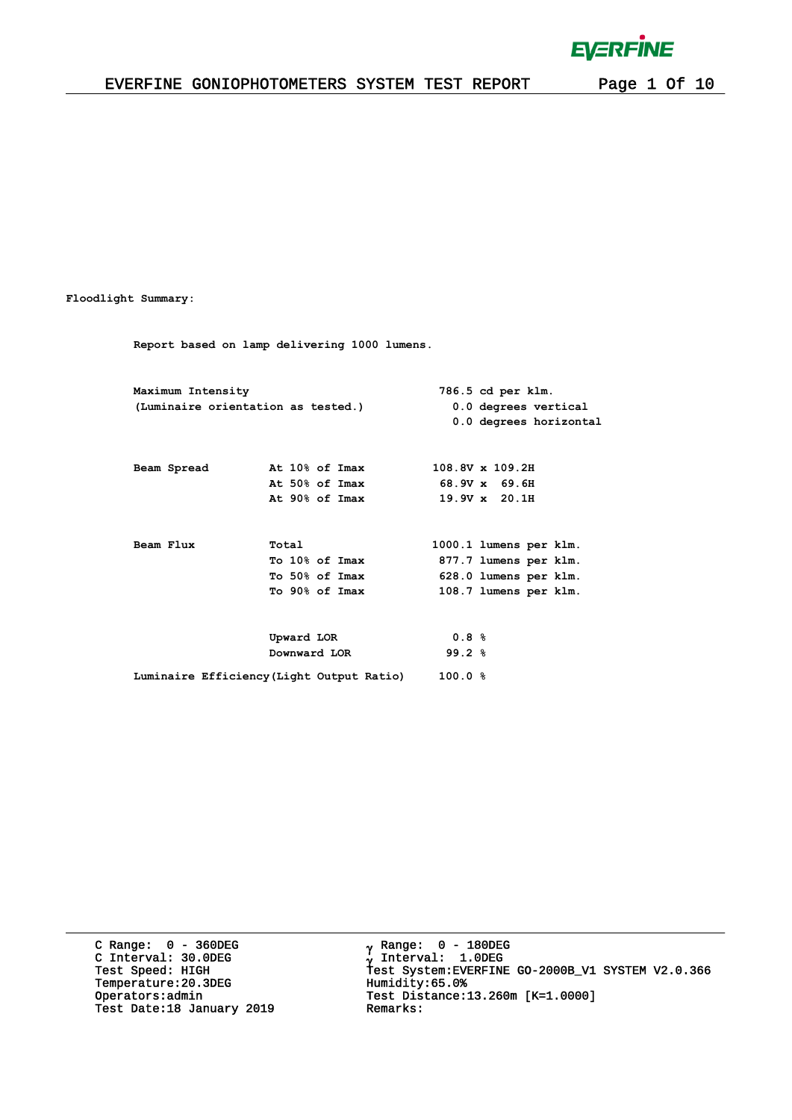$\bar{1}$ 

### EVERFINE GONIOPHOTOMETERS SYSTEM TEST REPORT Page 1 Of 10

#### **Floodlight Summary:**

**Report based on lamp delivering 1000 lumens.**

| Maximum Intensity |                                           |        | 786.5 cd per klm.      |
|-------------------|-------------------------------------------|--------|------------------------|
|                   | (Luminaire orientation as tested.)        |        | 0.0 degrees vertical   |
|                   |                                           |        | 0.0 degrees horizontal |
|                   |                                           |        |                        |
| Beam Spread       | At 10% of Imax                            |        | 108.8V x 109.2H        |
|                   | At 50% of Imax                            |        | 68.9V x 69.6H          |
|                   | At 90% of Imax                            |        | $19.9V \times 20.1H$   |
|                   |                                           |        |                        |
| Beam Flux         | Total                                     |        | 1000.1 lumens per klm. |
|                   | To 10% of Imax                            |        | 877.7 lumens per klm.  |
|                   | To 50% of Imax                            |        | 628.0 lumens per klm.  |
|                   | To 90% of Imax                            |        | 108.7 lumens per klm.  |
|                   |                                           |        |                        |
|                   |                                           | 0.8%   |                        |
|                   | Downward LOR                              | 99.2%  |                        |
|                   | Luminaire Efficiency (Light Output Ratio) | 100.0% |                        |
|                   | Upward LOR                                |        |                        |

C Range: 0 - 360DEG C Interval: 30.0DEG Temperature:20.3DEG Humidity:65.0%<br>Operators:admin Test Distance: Test Date:18 January 2019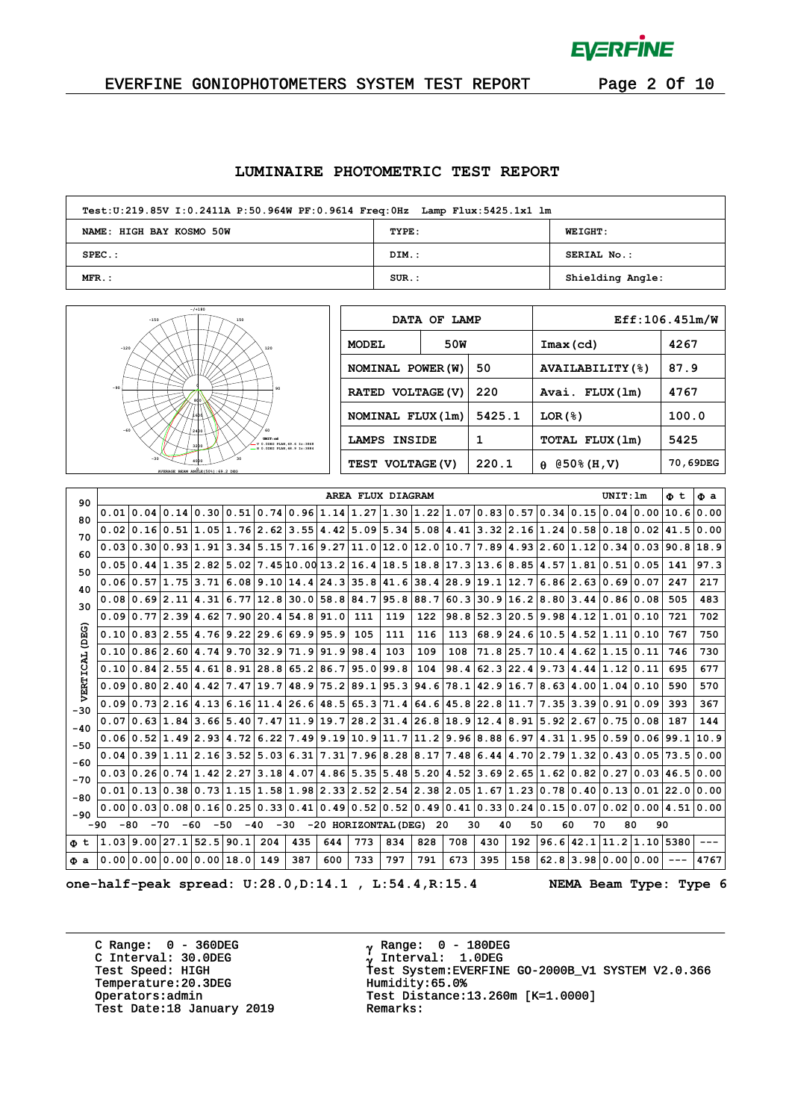

 $\alpha$ 

### EVERFINE GONIOPHOTOMETERS SYSTEM TEST REPORT Page 2 Of 10

#### **LUMINAIRE PHOTOMETRIC TEST REPORT**

| Test:U:219.85V I:0.2411A P:50.964W PF:0.9614 Freq:0Hz Lamp Flux:5425.1x1 lm |          |                  |  |  |  |  |  |  |  |  |
|-----------------------------------------------------------------------------|----------|------------------|--|--|--|--|--|--|--|--|
| NAME: HIGH BAY KOSMO 50W                                                    | TYPE:    | <b>WEIGHT:</b>   |  |  |  |  |  |  |  |  |
| $SPEC.$ :                                                                   | DIM.:    | SERIAL No.:      |  |  |  |  |  |  |  |  |
| $MFR.$ :                                                                    | $SUR$ .: | Shielding Angle: |  |  |  |  |  |  |  |  |



|                     | DATA OF LAMP |        | Eff:106.451m/W          |          |  |  |  |  |  |
|---------------------|--------------|--------|-------------------------|----------|--|--|--|--|--|
| <b>MODEL</b>        | 50W          |        | $Imax$ (cd)             | 4267     |  |  |  |  |  |
| NOMINAL POWER (W)   |              | 50     | <b>AVAILABILITY (%)</b> | 87.9     |  |  |  |  |  |
| RATED VOLTAGE (V)   |              | 220    | Avai. FLUX(1m)          | 4767     |  |  |  |  |  |
| NOMINAL FLUX (1m)   |              | 5425.1 | LOR(8)                  | 100.0    |  |  |  |  |  |
| <b>LAMPS INSIDE</b> |              | 1      | TOTAL FLUX(1m)          | 5425     |  |  |  |  |  |
| TEST VOLTAGE (V)    |              | 220.1  | $(050\$ (H, V)<br>A     | 70,69DEG |  |  |  |  |  |

| 90           |       |       |                          |       |       |                                                                                                       |     | AREA FLUX DIAGRAM    |     |      |      |             |      |                |    | UNIT:Im                              | Φt                            | Φа   |
|--------------|-------|-------|--------------------------|-------|-------|-------------------------------------------------------------------------------------------------------|-----|----------------------|-----|------|------|-------------|------|----------------|----|--------------------------------------|-------------------------------|------|
| 80           |       |       |                          |       |       | $0.01 0.04 0.14 0.30 0.51 0.74 0.96 1.14 1.27 1.30 1.22 1.07 0.83 0.57$                               |     |                      |     |      |      |             |      | $0.34 \, 0.15$ |    | 0.04 0.00                            | 10.6 0.00                     |      |
| 70           |       |       |                          |       |       | $0.02 0.16 0.51 1.05 1.76 2.62 3.55 4.42 5.09 5.34 5.08 4.41 3.32 2.16 1.24 0.58 0.18 0.02 41.5 0.00$ |     |                      |     |      |      |             |      |                |    |                                      |                               |      |
| 60           |       |       |                          |       |       | $0.03 0.30 0.93 1.91 3.34 5.15 7.16 9.27 11.0 12.0 12.0 10.7 7.89 4.93 2.60 1.12 0.34 0.03 90.8 18.9$ |     |                      |     |      |      |             |      |                |    |                                      |                               |      |
| 50           |       |       |                          |       |       | $0.05 0.44 1.35 2.82 5.02 7.45 10.00 13.2 16.4 18.5 18.8 17.3 13.6 8.85$                              |     |                      |     |      |      |             |      |                |    | 4.57 1.81 0.51 0.05                  | 141                           | 97.3 |
| 40           |       |       |                          |       |       | $0.06 0.57 1.75 3.71 6.08 9.10 14.4 24.3 35.8 41.6 38.4 28.9 $                                        |     |                      |     |      |      | 19.1        | 12.7 |                |    | 6.86 2.63 0.69 0.07                  | 247                           | 217  |
| 30           |       |       |                          |       |       | $0.08 0.69 2.11 4.31 6.77 12.8 30.0 58.8 84.7 95.8 88.7 60.3 30.9 16.2 8.80 3.44 0.86 0.08$           |     |                      |     |      |      |             |      |                |    |                                      | 505                           | 483  |
|              |       |       |                          |       |       | $0.09 0.77 2.39 4.62 7.90 20.4 54.8 91.0$                                                             |     | 111                  | 119 | 122  | 98.8 |             |      |                |    | 52.3 20.5 9.98 4.12 1.01 0.10        | 721                           | 702  |
| (DEG)        |       |       |                          |       |       | $0.10 0.83 2.55 4.76 9.22 29.6 69.9 95.9 $                                                            |     | 105                  | 111 | 116  | 113  |             |      |                |    | $68.9$  24.6 10.5 4.52 1.11 0.10     | 767                           | 750  |
|              |       |       |                          |       |       | $0.10 0.86 2.60 4.74 9.70 32.9 71.9 91.9 98.4$                                                        |     |                      | 103 | 109  | 108  | $71.8$ 25.7 |      |                |    | $10.4$ $4.62$ $1.15$ $0.11$          | 746                           | 730  |
| 녆            |       |       |                          |       |       | $0.10 0.84 2.55 4.61 8.91 28.8 65.2 86.7 95.0 99.8$                                                   |     |                      |     | 104  | 98.4 | $62.3$ 22.4 |      |                |    | 9.73 4.44 1.12 0.11                  | 695                           | 677  |
| VERTI        |       |       |                          |       |       | $0.09 0.80 2.40 4.42 7.47 19.7 48.9 75.2 89.1 95.3 $                                                  |     |                      |     | 94.6 | 78.1 | 42.9        | 16.7 |                |    | 8.63 4.00 1.04 0.10                  | 590                           | 570  |
|              |       |       |                          |       |       | $0.090.732.164.136.1611.426.648.565.371.464.645.822.8$                                                |     |                      |     |      |      |             | 11.7 |                |    | 7.35 3.39 0.91 0.09                  | 393                           | 367  |
| $-30$        |       |       |                          |       |       | $0.07 0.63 1.84 3.66 5.40 7.47 11.9 19.7 28.2 31.4 26.8 18.9 $                                        |     |                      |     |      |      | 12.4        | 8.91 |                |    | $5.92 \mid 2.67 \mid 0.75 \mid 0.08$ | 187                           | 144  |
| $-40$        |       |       |                          |       |       | $0.06 0.52 1.49 2.93 4.72 6.22 7.49 9.19 10.9 11.7 11.2 9.96 8.88 6.97 4.31 1.95 0.59 0.06 99.1 $     |     |                      |     |      |      |             |      |                |    |                                      |                               | 10.9 |
| $-50$        |       |       |                          |       |       | $0.04 0.39 1.11 2.16 3.52 5.03 6.31 7.31 7.96 8.28 8.17 7.48 6.44 4.70 2.79 1.32 0.43 0.05 $          |     |                      |     |      |      |             |      |                |    |                                      | 73.5 0.00                     |      |
| -60          |       |       |                          |       |       | $0.03 0.26 0.74 1.42 2.27 3.18 4.07 4.86 5.35 5.48 5.20 4.52 3.69 2.65 1.62 0.82 0.27 0.03 46.5 0.00$ |     |                      |     |      |      |             |      |                |    |                                      |                               |      |
| $-70$        |       |       |                          |       |       | $0.01 0.13 0.38 0.73 1.15 1.58 1.98 2.33 2.52 2.54 2.38 2.05 1.67 1.23 0.78 0.40 0.13 0.01 22.0 0.00$ |     |                      |     |      |      |             |      |                |    |                                      |                               |      |
| $-80$        |       |       |                          |       |       | $0.00 0.03 0.08 0.16 0.25 0.33 0.41 0.49 0.52 0.52 0.49 0.41 0.33 $                                   |     |                      |     |      |      |             | 0.24 |                |    |                                      | 0.15 0.07 0.02 0.00 4.51 0.00 |      |
| -90<br>$-90$ | $-80$ | $-70$ | -60                      | $-50$ | $-40$ | $-30$                                                                                                 |     | -20 HORIZONTAL (DEG) |     | 20   | 30   | 40          | 50   | 60             | 70 | 80                                   | 90                            |      |
| Φt           |       |       | 1.03 9.00 27.1 52.5 90.1 |       | 204   | 435                                                                                                   | 644 | 773                  | 834 | 828  | 708  | 430         | 192  |                |    | $96.6$   42.1  11.2  1.10  5380      |                               |      |
| Фa           |       |       | 0.00 0.00 0.00 0.00 18.0 |       | 149   | 387                                                                                                   | 600 | 733                  | 797 | 791  | 673  | 395         | 158  |                |    | $62.8$   3.98   0.00   0.00          |                               | 4767 |
|              |       |       |                          |       |       |                                                                                                       |     |                      |     |      |      |             |      |                |    |                                      |                               |      |

**one-half-peak spread: U:28.0,D:14.1 , L:54.4,R:15.4 NEMA Beam Type: Type 6**

C Range: 0 - 360DEG C Interval: 30.0DEG<br>Test Speed: HIGH Temperature:20.3DEG Humidity:65.0%<br>Operators:admin Test Distance: Test Date:18 January 2019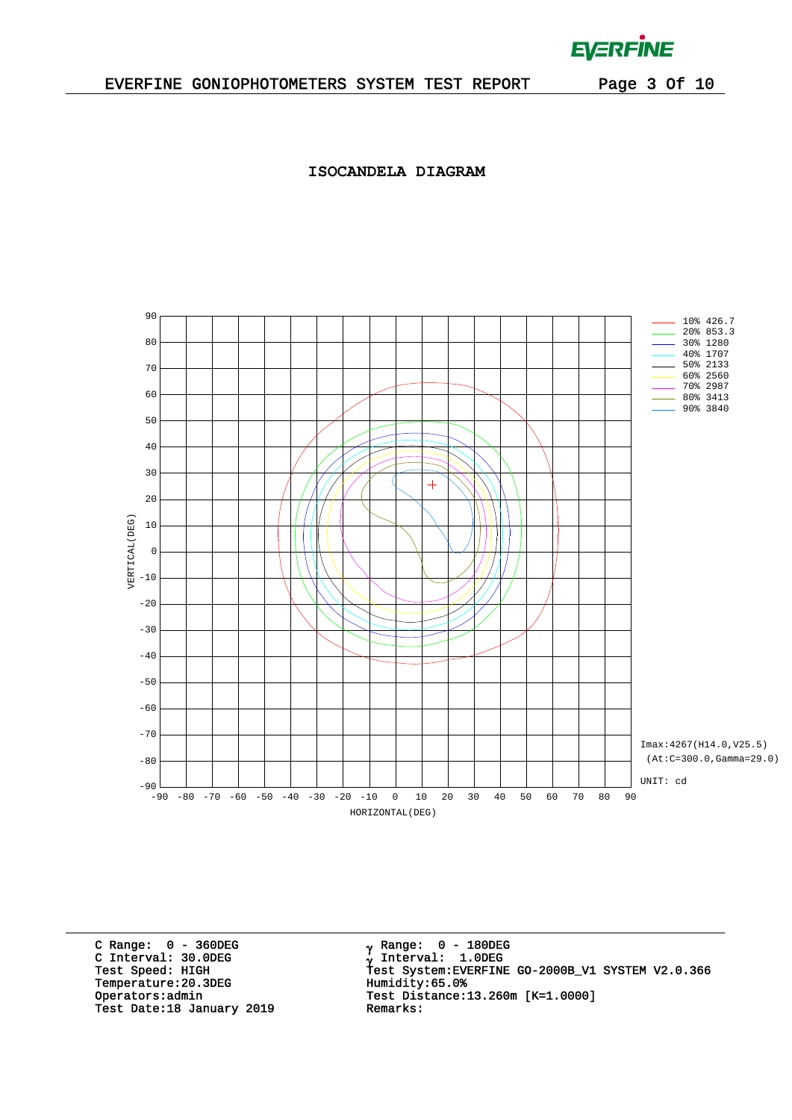$\mathcal{L}^{\text{max}}$  .

### **ISOCANDELA DIAGRAM**



C Range: 0 - 360DEG C Interval: 30.0DEG<br>Test Speed: HIGH Temperature:20.3DEG Humidity:65.0%<br>Operators:admin Test Distance: Test Date:18 January 2019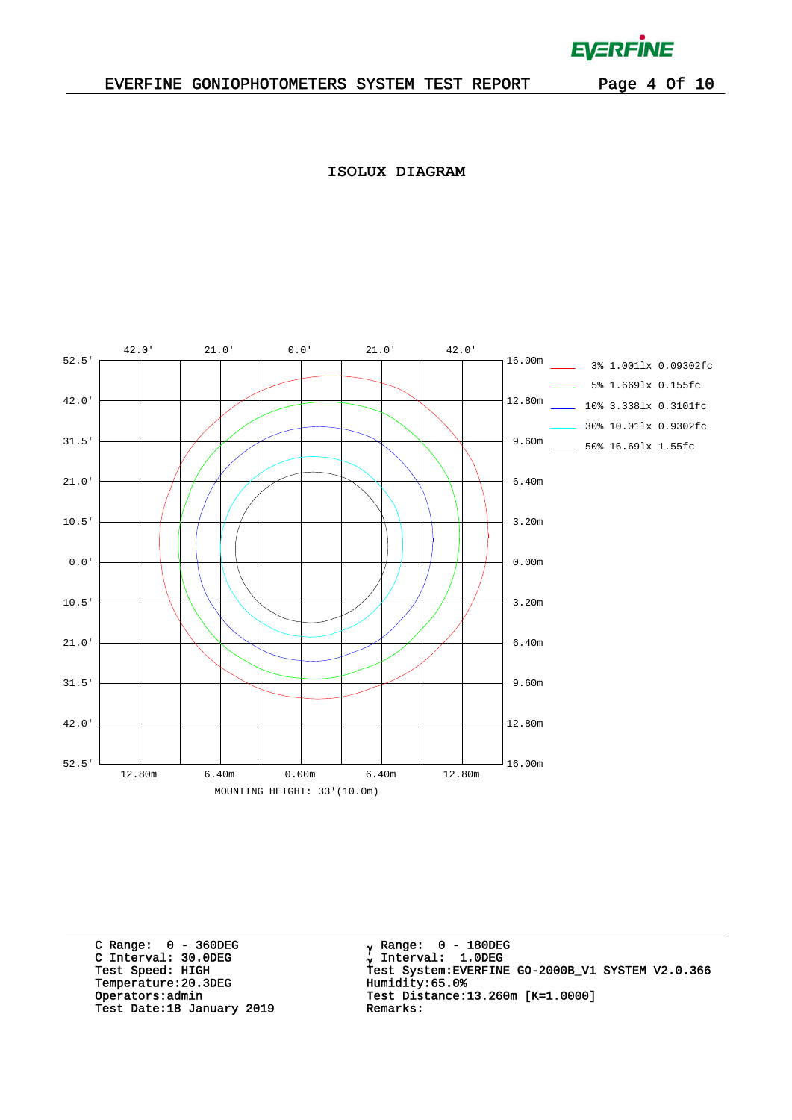$\mathcal{L}^{\text{max}}$ 

**ISOLUX DIAGRAM**



C Range: 0 - 360DEG C Interval: 30.0DEG<br>Test Speed: HIGH Temperature:20.3DEG Humidity:65.0%<br>Operators:admin Test Distance: Test Date:18 January 2019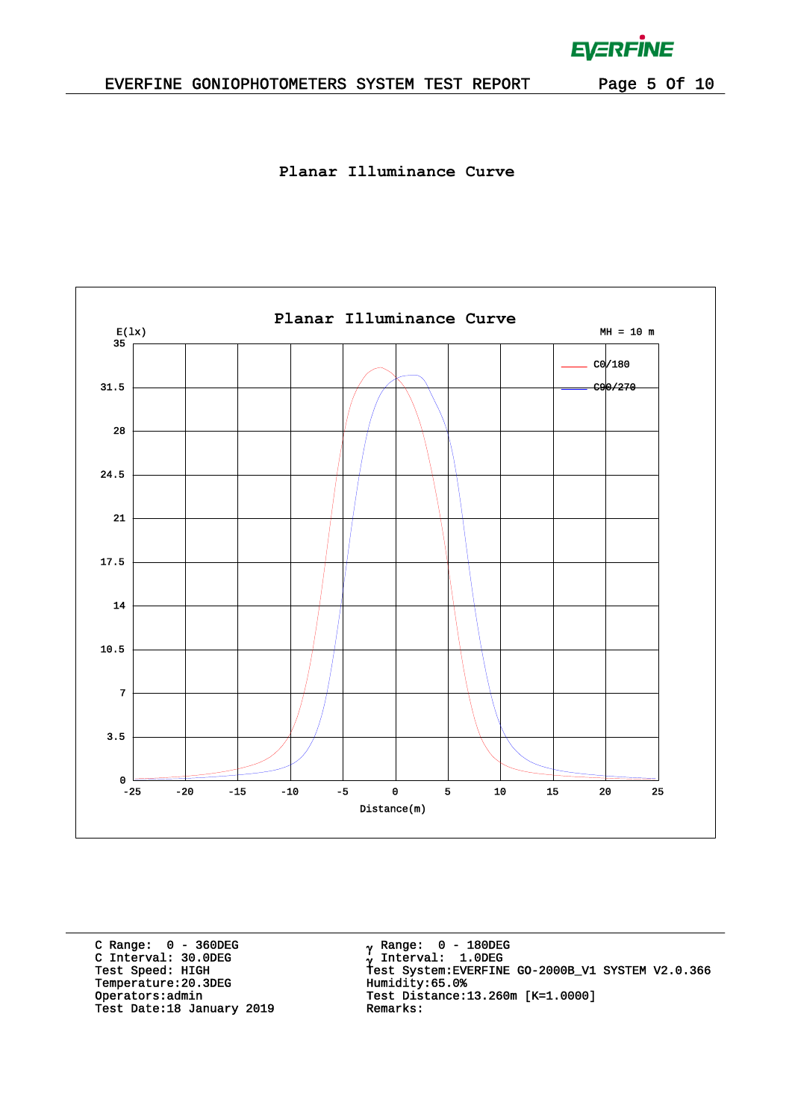### EVERFINE GONIOPHOTOMETERS SYSTEM TEST REPORT Page 5 Of 10

**EVERFINE** 

 $\bar{L}$ 

**Planar Illuminance Curve**



C Range: 0 - 360DEG C Interval: 30.0DEG<br>Test Speed: HIGH Temperature:20.3DEG Humidity:65.0%<br>Operators:admin Test Distance: Test Date:18 January 2019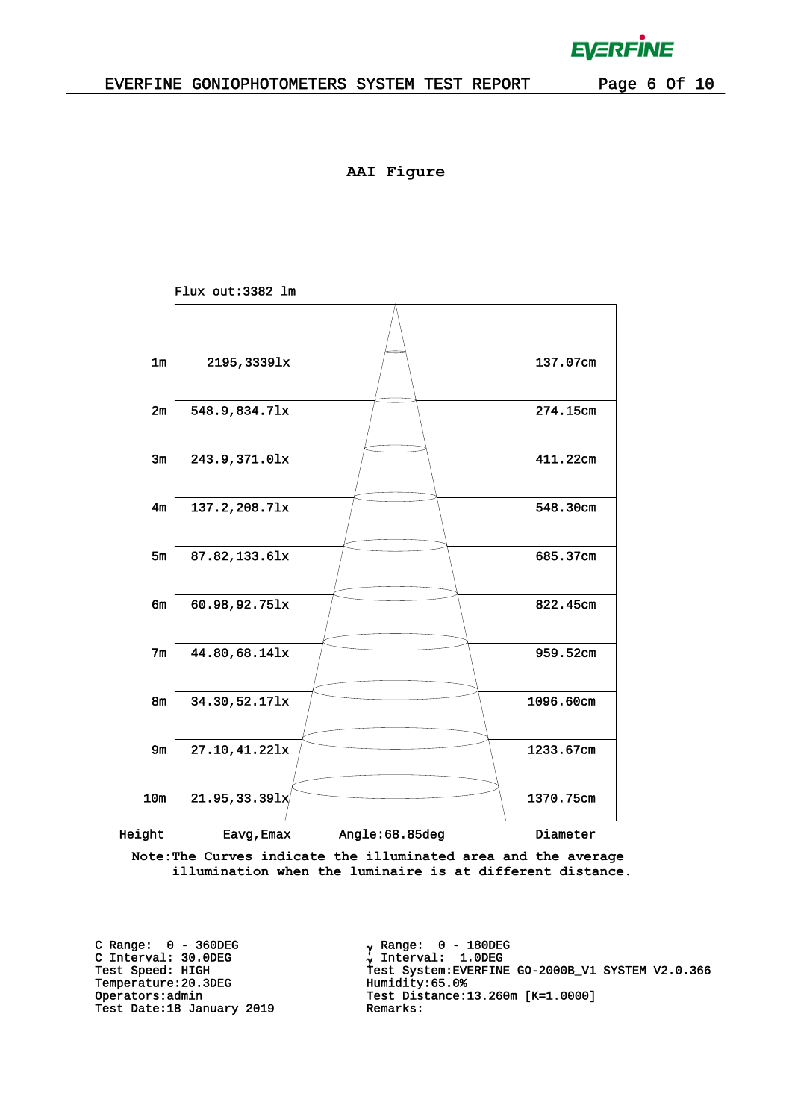**AAI Figure**



**Note:The Curves indicate the illuminated area and the average illumination when the luminaire is at different distance.**

C Range: 0 - 360DEG C Interval: 30.0DEG<br>Test Speed: HIGH Temperature:20.3DEG Humidity:65.0%<br>Operators:admin Test Distance: Test Date:18 January 2019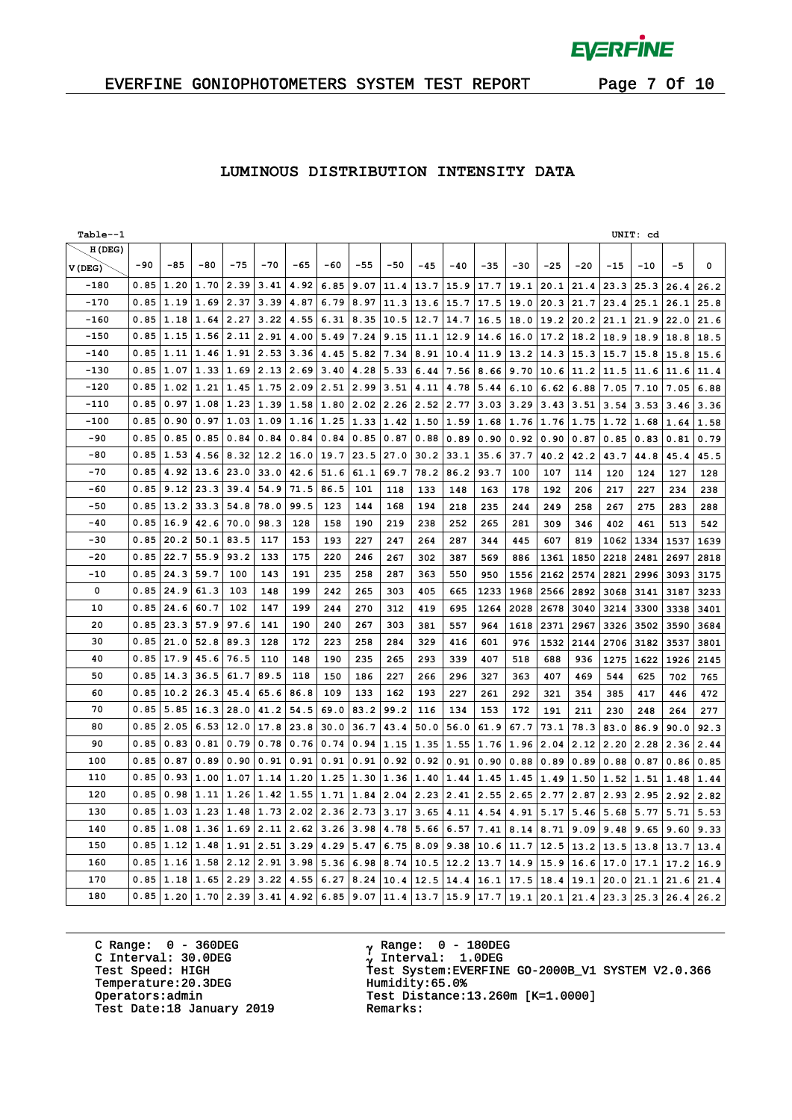$\bar{L}$ 

### EVERFINE GONIOPHOTOMETERS SYSTEM TEST REPORT Page 7 Of 10

### **LUMINOUS DISTRIBUTION INTENSITY DATA**

| Table--1 |       |       |       |       |                  |       |       |       |       |       |       |       |       |       |       |       | UNIT: cd |               |             |
|----------|-------|-------|-------|-------|------------------|-------|-------|-------|-------|-------|-------|-------|-------|-------|-------|-------|----------|---------------|-------------|
| H(DEG)   |       |       |       |       |                  |       |       |       |       |       |       |       |       |       |       |       |          |               |             |
| V(DEG)   | $-90$ | $-85$ | $-80$ | $-75$ | $-70$            | $-65$ | $-60$ | $-55$ | $-50$ | $-45$ | $-40$ | $-35$ | $-30$ | $-25$ | $-20$ | $-15$ | $-10$    | $-5$          | $\mathbf 0$ |
| $-180$   | 0.85  | 1.20  | 1.70  | 2.39  | 3.41             | 4.92  | 6.85  | 9.07  | 11.4  | 13.7  | 15.9  | 17.7  | 19.1  | 20.1  | 21.4  | 23.3  | 25.3     | 26.4          | 26.2        |
| $-170$   | 0.85  | 1.19  | 1.69  | 2.37  | 3.39             | 4.87  | 6.79  | 8.97  | 11.3  | 13.6  | 15.7  | 17.5  | 19.0  | 20.3  | 21.7  | 23.4  | 25.1     | 26.1          | 25.8        |
| $-160$   | 0.85  | 1.18  | 1.64  | 2.27  | 3.22             | 4.55  | 6.31  | 8.35  | 10.5  | 12.7  | 14.7  | 16.5  | 18.0  | 19.2  | 20.2  | 21.1  | 21.9     | 22.0          | 21.6        |
| $-150$   | 0.85  | 1.15  | 1.56  | 2.11  | 2.91             | 4.00  | 5.49  | 7.24  | 9.15  | 11.1  | 12.9  | 14.6  | 16.0  | 17.2  | 18.2  | 18.9  | 18.9     | 18.8          | 18.5        |
| $-140$   | 0.85  | 1.11  | 1.46  | 1.91  | 2.53             | 3.36  | 4.45  | 5.82  | 7.34  | 8.91  | 10.4  | 11.9  | 13.2  | 14.3  | 15.3  | 15.7  | 15.8     | 15.8          | 15.6        |
| $-130$   | 0.85  | 1.07  | 1.33  | 1.69  | 2.13             | 2.69  | 3.40  | 4.28  | 5.33  | 6.44  | 7.56  | 8.66  | 9.70  | 10.6  | 11.2  | 11.5  | 11.6     | 11.6          | 11.4        |
| $-120$   | 0.85  | 1.02  | 1.21  | 1.45  | 1.75             | 2.09  | 2.51  | 2.99  | 3.51  | 4.11  | 4.78  | 5.44  | 6.10  | 6.62  | 6.88  | 7.05  | 7.10     | 7.05          | 6.88        |
| -110     | 0.85  | 0.97  | 1.08  | 1.23  | 1.39 1.58        |       | 1.80  | 2.02  | 2.26  | 2.52  | 2.77  | 3.03  | 3.29  | 3.43  | 3.51  | 3.54  | 3.53     | 3.46          | 3.36        |
| $-100$   | 0.85  | 0.90  | 0.97  | 1.03  | 1.09             | 1.16  | 1.25  | 1.33  | 1.42  | 1.50  | 1.59  | 1.68  | 1.76  | 1.76  | 1.75  | 1.72  | 1.68     | 1.64          | 1.58        |
| -90      | 0.85  | 0.85  | 0.85  | 0.84  | 0.84             | 0.84  | 0.84  | 0.85  | 0.87  | 0.88  | 0.89  | 0.90  | 0.92  | 0.90  | 0.87  | 0.85  | 0.83     | 0.81          | 0.79        |
| $-80$    | 0.85  | 1.53  | 4.56  | 8.32  | 12.2             | 16.0  | 19.7  | 23.5  | 27.0  | 30.2  | 33.1  | 35.6  | 37.7  | 40.2  | 42.2  | 43.7  | 44.8     | 45.4          | 45.5        |
| $-70$    | 0.85  | 4.92  | 13.6  | 23.0  | 33.0             | 42.6  | 51.6  | 61.1  | 69.7  | 78.2  | 86.2  | 93.7  | 100   | 107   | 114   | 120   | 124      | 127           | 128         |
| -60      | 0.85  | 9.12  | 23.3  | 39.4  | 54.9             | 71.5  | 86.5  | 101   | 118   | 133   | 148   | 163   | 178   | 192   | 206   | 217   | 227      | 234           | 238         |
| $-50$    | 0.85  | 13.2  | 33.3  | 54.8  | 78.0             | 99.5  | 123   | 144   | 168   | 194   | 218   | 235   | 244   | 249   | 258   | 267   | 275      | 283           | 288         |
| $-40$    | 0.85  | 16.9  | 42.6  | 70.0  | 98.3             | 128   | 158   | 190   | 219   | 238   | 252   | 265   | 281   | 309   | 346   | 402   | 461      | 513           | 542         |
| $-30$    | 0.85  | 20.2  | 50.1  | 83.5  | 117              | 153   | 193   | 227   | 247   | 264   | 287   | 344   | 445   | 607   | 819   | 1062  | 1334     | 1537          | 1639        |
| $-20$    | 0.85  | 22.7  | 55.9  | 93.2  | 133              | 175   | 220   | 246   | 267   | 302   | 387   | 569   | 886   | 1361  | 1850  | 2218  | 2481     | 2697          | 2818        |
| $-10$    | 0.85  | 24.3  | 59.7  | 100   | 143              | 191   | 235   | 258   | 287   | 363   | 550   | 950   | 1556  | 2162  | 2574  | 2821  | 2996     | 3093          | 3175        |
| 0        | 0.85  | 24.9  | 61.3  | 103   | 148              | 199   | 242   | 265   | 303   | 405   | 665   | 1233  | 1968  | 2566  | 2892  | 3068  | 3141     | 3187          | 3233        |
| 10       | 0.85  | 24.6  | 60.7  | 102   | 147              | 199   | 244   | 270   | 312   | 419   | 695   | 1264  | 2028  | 2678  | 3040  | 3214  | 3300     | 3338          | 3401        |
| 20       | 0.85  | 23.3  | 57.9  | 97.6  | 141              | 190   | 240   | 267   | 303   | 381   | 557   | 964   | 1618  | 2371  | 2967  | 3326  | 3502     | 3590          | 3684        |
| 30       | 0.85  | 21.0  | 52.8  | 89.3  | 128              | 172   | 223   | 258   | 284   | 329   | 416   | 601   | 976   | 1532  | 2144  | 2706  | 3182     | 3537          | 3801        |
| 40       | 0.85  | 17.9  | 45.6  | 76.5  | 110              | 148   | 190   | 235   | 265   | 293   | 339   | 407   | 518   | 688   | 936   | 1275  | 1622     | 1926          | 2145        |
| 50       | 0.85  | 14.3  | 36.5  | 61.7  | 89.5             | 118   | 150   | 186   | 227   | 266   | 296   | 327   | 363   | 407   | 469   | 544   | 625      | 702           | 765         |
| 60       | 0.85  | 10.2  | 26.3  | 45.4  | 65.6             | 86.8  | 109   | 133   | 162   | 193   | 227   | 261   | 292   | 321   | 354   | 385   | 417      | 446           | 472         |
| 70       | 0.85  | 5.85  | 16.3  | 28.0  | 41.2             | 54.5  | 69.0  | 83.2  | 99.2  | 116   | 134   | 153   | 172   | 191   | 211   | 230   | 248      | 264           | 277         |
| 80       | 0.85  | 2.05  | 6.53  | 12.0  | 17.8             | 23.8  | 30.0  | 36.7  | 43.4  | 50.0  | 56.0  | 61.9  | 67.7  | 73.1  | 78.3  | 83.0  | 86.9     | 90.0          | 92.3        |
| 90       | 0.85  | 0.83  | 0.81  | 0.79  | 0.78             | 0.76  | 0.74  | 0.94  | 1.15  | 1.35  | 1.55  | 1.76  | 1.96  | 2.04  | 2.12  | 2.20  | 2.28     | 2.36          | 2.44        |
| 100      | 0.85  | 0.87  | 0.89  | 0.90  | 0.91             | 0.91  | 0.91  | 0.91  | 0.92  | 0.92  | 0.91  | 0.90  | 0.88  | 0.89  | 0.89  | 0.88  | 0.87     | 0.86          | 0.85        |
| 110      | 0.85  | 0.93  | 1.00  | 1.07  | $1.14$   1.20    |       | 1.25  | 1.30  | 1.36  | 1.40  | 1.44  | 1.45  | 1.45  | 1.49  | 1.50  | 1.52  | 1.51     | $1.48$   1.44 |             |
| 120      | 0.85  | 0.98  | 1.11  | 1.26  | $1.42 \mid 1.55$ |       | 1.71  | 1.84  | 2.04  | 2.23  | 2.41  | 2.55  | 2.65  | 2.77  | 2.87  | 2.93  | 2.95     | 2.92          | 2.82        |
| 130      | 0.85  | 1.03  | 1.23  | 1.48  | $1.73$ 2.02      |       | 2.36  | 2.73  | 3.17  | 3.65  | 4.11  | 4.54  | 4.91  | 5.17  | 5.46  | 5.68  | 5.77     | 5.71          | 5.53        |
| 140      | 0.85  | 1.08  | 1.36  | 1.69  | 2.11             | 2.62  | 3.26  | 3.98  | 4.78  | 5.66  | 6.57  | 7.41  | 8.14  | 8.71  | 9.09  | 9.48  | 9.65     | 9.60          | 9.33        |
| 150      | 0.85  | 1.12  | 1.48  | 1.91  | 2.51             | 3.29  | 4.29  | 5.47  | 6.75  | 8.09  | 9.38  | 10.6  | 11.7  | 12.5  | 13.2  | 13.5  | 13.8     | 13.7          | 13.4        |
| 160      | 0.85  | 1.16  | 1.58  | 2.12  | 2.91             | 3.98  | 5.36  | 6.98  | 8.74  | 10.5  | 12.2  | 13.7  | 14.9  | 15.9  | 16.6  | 17.0  | 17.1     | 17.2          | 16.9        |
| 170      | 0.85  | 1.18  | 1.65  | 2.29  | 3.22             | 4.55  | 6.27  | 8.24  | 10.4  | 12.5  | 14.4  | 16.1  | 17.5  | 18.4  | 19.1  | 20.0  | 21.1     | 21.6          | 21.4        |
| 180      | 0.85  | 1.20  | 1.70  | 2.39  | 3.41             | 4.92  | 6.85  | 9.07  | 11.4  | 13.7  | 15.9  | 17.7  | 19.1  | 20.1  | 21.4  | 23.3  | 25.3     | 26.4          | 26.2        |

C Range: 0 - 360DEG C Interval: 30.0DEG Temperature:20.3DEG Humidity:65.0%<br>Operators:admin Test Distance: Test Date:18 January 2019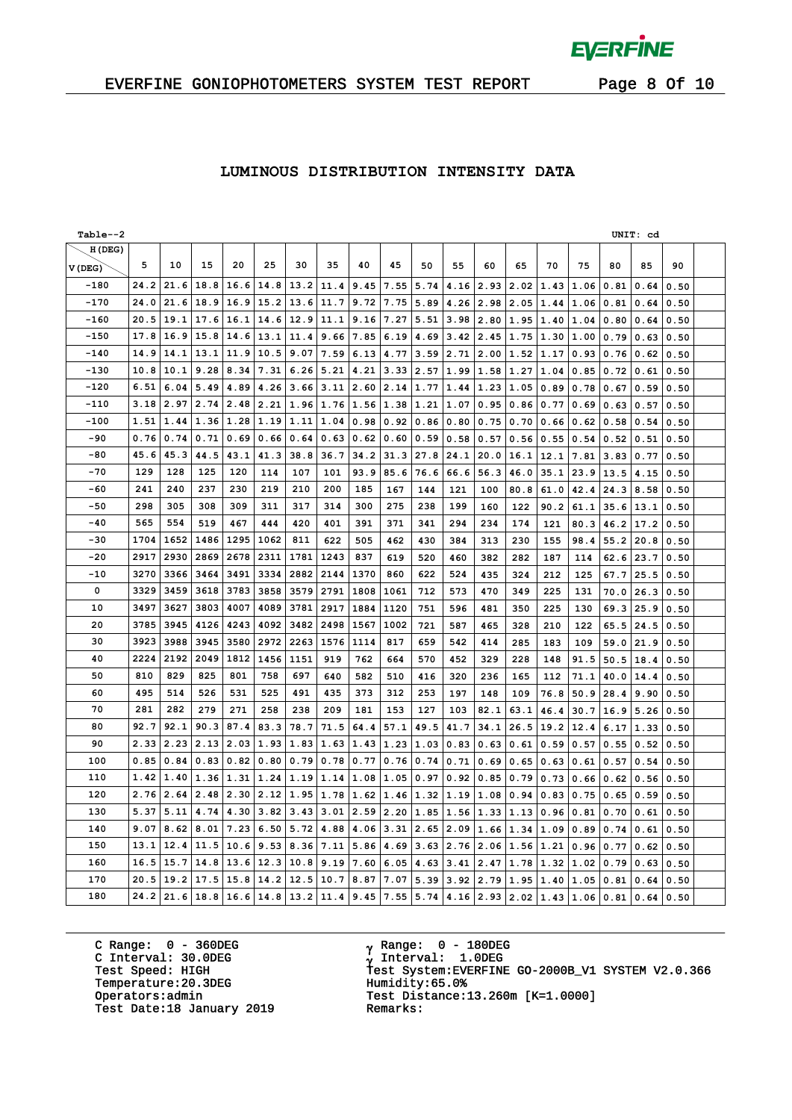$\bar{L}$ 

### EVERFINE GONIOPHOTOMETERS SYSTEM TEST REPORT Page 8 Of 10

### **LUMINOUS DISTRIBUTION INTENSITY DATA**

| Table--2 |      |      |      |                  |      |                |      |      |      |      |      |                  |           |                      |      |      | UNIT: cd |      |  |
|----------|------|------|------|------------------|------|----------------|------|------|------|------|------|------------------|-----------|----------------------|------|------|----------|------|--|
| H(DEG)   |      |      |      |                  |      |                |      |      |      |      |      |                  |           |                      |      |      |          |      |  |
| V(DEG)   | 5    | 10   | 15   | 20               | 25   | 30             | 35   | 40   | 45   | 50   | 55   | 60               | 65        | 70                   | 75   | 80   | 85       | 90   |  |
| -180     | 24.2 | 21.6 | 18.8 | 16.6             | 14.8 | 13.2           | 11.4 | 9.45 | 7.55 | 5.74 | 4.16 | 2.93             | 2.02      | 1.43                 | 1.06 | 0.81 | 0.64     | 0.50 |  |
| $-170$   | 24.0 | 21.6 | 18.9 | 16.9             | 15.2 | 13.6           | 11.7 | 9.72 | 7.75 | 5.89 | 4.26 | 2.98             | 2.05      | 1.44                 | 1.06 | 0.81 | 0.64     | 0.50 |  |
| $-160$   | 20.5 | 19.1 | 17.6 | 16.1             | 14.6 | 12.9           | 11.1 | 9.16 | 7.27 | 5.51 | 3.98 | 2.80             | 1.95      | 1.40                 | 1.04 | 0.80 | 0.64     | 0.50 |  |
| $-150$   | 17.8 | 16.9 | 15.8 | 14.6             | 13.1 | 11.4           | 9.66 | 7.85 | 6.19 | 4.69 | 3.42 | 2.45             | 1.75      | 1.30                 | 1.00 | 0.79 | 0.63     | 0.50 |  |
| $-140$   | 14.9 | 14.1 | 13.1 | 11.9             | 10.5 | 9.07           | 7.59 | 6.13 | 4.77 | 3.59 | 2.71 | 2.00             | 1.52      | 1.17                 | 0.93 | 0.76 | 0.62     | 0.50 |  |
| $-130$   | 10.8 | 10.1 | 9.28 | 8.34             | 7.31 | 6.26           | 5.21 | 4.21 | 3.33 | 2.57 | 1.99 | 1.58             | 1.27      | 1.04                 | 0.85 | 0.72 | 0.61     | 0.50 |  |
| $-120$   | 6.51 | 6.04 | 5.49 | 4.89             | 4.26 | 3.66           | 3.11 | 2.60 | 2.14 | 1.77 | 1.44 | 1.23             | 1.05      | 0.89                 | 0.78 | 0.67 | 0.59     | 0.50 |  |
| -110     | 3.18 | 2.97 | 2.74 | 2.48             | 2.21 | 1.96           | 1.76 | 1.56 | 1.38 | 1.21 | 1.07 | 0.95             | 0.86 0.77 |                      | 0.69 | 0.63 | 0.57     | 0.50 |  |
| $-100$   | 1.51 | 1.44 | 1.36 | 1.28             | 1.19 | 1.11           | 1.04 | 0.98 | 0.92 | 0.86 | 0.80 | 0.75             | 0.70      | 0.66                 | 0.62 | 0.58 | 0.54     | 0.50 |  |
| -90      | 0.76 | 0.74 | 0.71 | 0.69             | 0.66 | 0.64           | 0.63 | 0.62 | 0.60 | 0.59 | 0.58 | 0.57             | 0.56      | 0.55                 | 0.54 | 0.52 | 0.51     | 0.50 |  |
| $-80$    | 45.6 | 45.3 | 44.5 | 43.1             | 41.3 | 38.8           | 36.7 | 34.2 | 31.3 | 27.8 | 24.1 | 20.0             | 16.1      | 12.1                 | 7.81 | 3.83 | 0.77     | 0.50 |  |
| $-70$    | 129  | 128  | 125  | 120              | 114  | 107            | 101  | 93.9 | 85.6 | 76.6 | 66.6 | 56.3             | 46.0      | 35.1                 | 23.9 | 13.5 | 4.15     | 0.50 |  |
| $-60$    | 241  | 240  | 237  | 230              | 219  | 210            | 200  | 185  | 167  | 144  | 121  | 100              | 80.8      | 61.0                 | 42.4 | 24.3 | 8.58     | 0.50 |  |
| $-50$    | 298  | 305  | 308  | 309              | 311  | 317            | 314  | 300  | 275  | 238  | 199  | 160              | 122       | 90.2                 | 61.1 | 35.6 | 13.1     | 0.50 |  |
| $-40$    | 565  | 554  | 519  | 467              | 444  | 420            | 401  | 391  | 371  | 341  | 294  | 234              | 174       | 121                  | 80.3 | 46.2 | 17.2     | 0.50 |  |
| $-30$    | 1704 | 1652 | 1486 | 1295             | 1062 | 811            | 622  | 505  | 462  | 430  | 384  | 313              | 230       | 155                  | 98.4 | 55.2 | 20.8     | 0.50 |  |
| $-20$    | 2917 | 2930 | 2869 | 2678             | 2311 | 1781           | 1243 | 837  | 619  | 520  | 460  | 382              | 282       | 187                  | 114  | 62.6 | 23.7     | 0.50 |  |
| $-10$    | 3270 | 3366 | 3464 | 3491             | 3334 | 2882           | 2144 | 1370 | 860  | 622  | 524  | 435              | 324       | 212                  | 125  | 67.7 | 25.5     | 0.50 |  |
| 0        | 3329 | 3459 | 3618 | 3783             | 3858 | 3579           | 2791 | 1808 | 1061 | 712  | 573  | 470              | 349       | 225                  | 131  | 70.0 | 26.3     | 0.50 |  |
| 10       | 3497 | 3627 | 3803 | 4007             | 4089 | 3781           | 2917 | 1884 | 1120 | 751  | 596  | 481              | 350       | 225                  | 130  | 69.3 | 25.9     | 0.50 |  |
| 20       | 3785 | 3945 | 4126 | 4243             | 4092 | 3482           | 2498 | 1567 | 1002 | 721  | 587  | 465              | 328       | 210                  | 122  | 65.5 | 24.5     | 0.50 |  |
| 30       | 3923 | 3988 | 3945 | 3580             | 2972 | 2263           | 1576 | 1114 | 817  | 659  | 542  | 414              | 285       | 183                  | 109  | 59.0 | 21.9     | 0.50 |  |
| 40       | 2224 | 2192 | 2049 | 1812             | 1456 | 1151           | 919  | 762  | 664  | 570  | 452  | 329              | 228       | 148                  | 91.5 | 50.5 | 18.4     | 0.50 |  |
| 50       | 810  | 829  | 825  | 801              | 758  | 697            | 640  | 582  | 510  | 416  | 320  | 236              | 165       | 112                  | 71.1 | 40.0 | 14.4     | 0.50 |  |
| 60       | 495  | 514  | 526  | 531              | 525  | 491            | 435  | 373  | 312  | 253  | 197  | 148              | 109       | 76.8                 | 50.9 | 28.4 | 9.90     | 0.50 |  |
| 70       | 281  | 282  | 279  | 271              | 258  | 238            | 209  | 181  | 153  | 127  | 103  | 82.1             | 63.1      | 46.4                 | 30.7 | 16.9 | 5.26     | 0.50 |  |
| 80       | 92.7 | 92.1 | 90.3 | 87.4             | 83.3 | 78.7           | 71.5 | 64.4 | 57.1 | 49.5 | 41.7 | 34.1             | 26.5      | 19.2                 | 12.4 | 6.17 | 1.33     | 0.50 |  |
| 90       | 2.33 | 2.23 | 2.13 | $2.03 \mid 1.93$ |      | 1.83           | 1.63 | 1.43 | 1.23 | 1.03 | 0.83 | 0.63             | 0.61      | 0.59                 | 0.57 | 0.55 | 0.52     | 0.50 |  |
| 100      | 0.85 | 0.84 | 0.83 | 0.82 0.80        |      | 0.79           | 0.78 | 0.77 | 0.76 | 0.74 | 0.71 | 0.69             | 0.65      | 0.63                 | 0.61 | 0.57 | 0.54     | 0.50 |  |
| 110      | 1.42 | 1.40 | 1.36 | 1.31             | 1.24 | 1.19           | 1.14 | 1.08 | 1.05 | 0.97 | 0.92 | 0.85             | 0.79      | 0.73                 | 0.66 | 0.62 | 0.56     | 0.50 |  |
| 120      | 2.76 | 2.64 | 2.48 | 2.30             | 2.12 | 1.95           | 1.78 | 1.62 | 1.46 | 1.32 | 1.19 | 1.08             | 0.94      | 0.83                 | 0.75 | 0.65 | 0.59     | 0.50 |  |
| 130      | 5.37 | 5.11 | 4.74 | 4.30             | 3.82 | 3.43           | 3.01 | 2.59 | 2.20 | 1.85 | 1.56 | 1.33             | 1.13      | 0.96                 | 0.81 | 0.70 | 0.61     | 0.50 |  |
| 140      | 9.07 | 8.62 | 8.01 | 7.23             | 6.50 | 5.72           | 4.88 | 4.06 | 3.31 | 2.65 | 2.09 | 1.66             | 1.34      | 1.09                 | 0.89 | 0.74 | 0.61     | 0.50 |  |
| 150      | 13.1 | 12.4 | 11.5 | 10.6             | 9.53 | 8.36           | 7.11 | 5.86 | 4.69 | 3.63 | 2.76 | 2.06             | 1.56      | 1.21                 | 0.96 | 0.77 | 0.62     | 0.50 |  |
| 160      | 16.5 | 15.7 | 14.8 | 13.6             | 12.3 | 10.8           | 9.19 | 7.60 | 6.05 | 4.63 | 3.41 | 2.47             | 1.78      | 1.32                 | 1.02 | 0.79 | 0.63     | 0.50 |  |
| 170      | 20.5 | 19.2 | 17.5 | 15.8 14.2        |      | 12.5           | 10.7 | 8.87 | 7.07 | 5.39 |      | $3.92 \mid 2.79$ | 1.95 1.40 |                      | 1.05 | 0.81 | 0.64     | 0.50 |  |
| 180      | 24.2 | 21.6 | 18.8 |                  |      | 16.6 14.8 13.2 | 11.4 | 9.45 | 7.55 | 5.74 |      | $4.16$   2.93    |           | $2.02$   1.43   1.06 |      | 0.81 | 0.64     | 0.50 |  |

C Range: 0 - 360DEG C Interval: 30.0DEG Temperature:20.3DEG Humidity:65.0%<br>Operators:admin Test Distance: Test Date:18 January 2019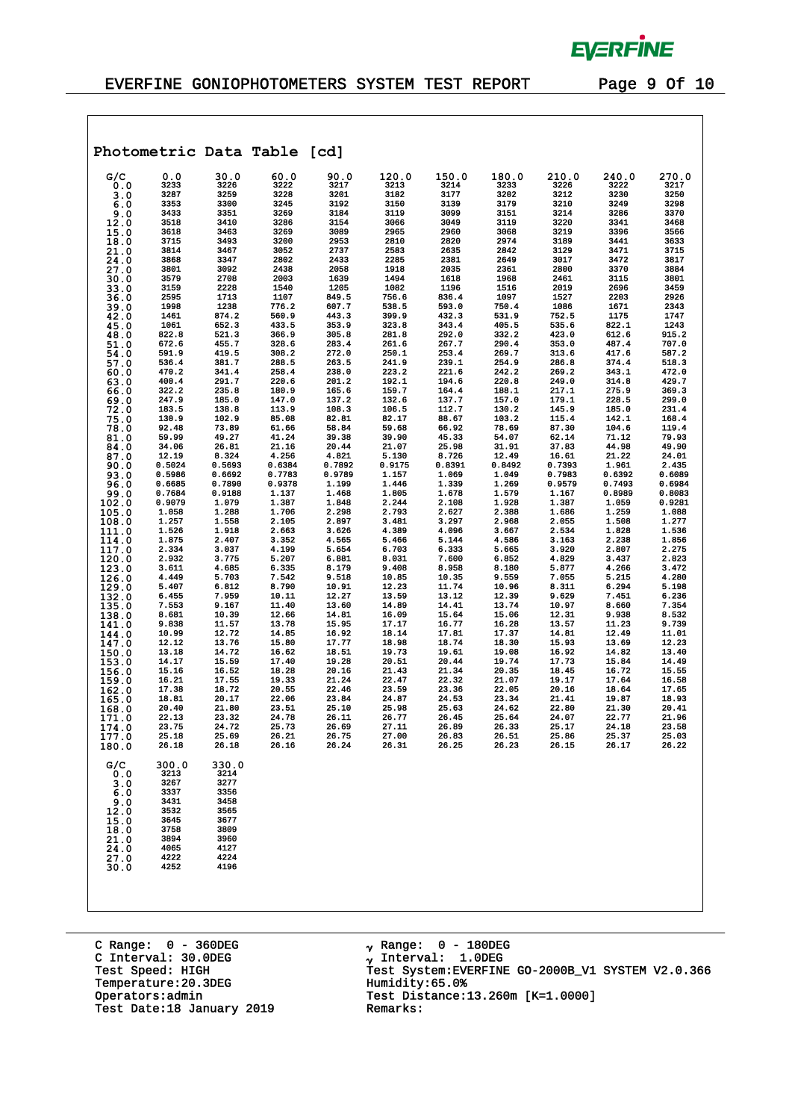

 $\mathcal{A}$ 

|                                                                                         |                                                                                               |                                                                                               | Photometric Data Table [cd] |        |        |        |        |        |        |        |
|-----------------------------------------------------------------------------------------|-----------------------------------------------------------------------------------------------|-----------------------------------------------------------------------------------------------|-----------------------------|--------|--------|--------|--------|--------|--------|--------|
| G/C                                                                                     | 0.0                                                                                           | 30.0                                                                                          | 60.0                        | 90.0   | 120.0  | 150.0  | 180.0  | 210.0  | 240.0  | 270.0  |
| 0.0                                                                                     | 3233                                                                                          | 3226                                                                                          | 3222                        | 3217   | 3213   | 3214   | 3233   | 3226   | 3222   | 3217   |
| 3.0                                                                                     | 3287                                                                                          | 3259                                                                                          | 3228                        | 3201   | 3182   | 3177   | 3202   | 3212   | 3230   | 3250   |
| 6.0                                                                                     | 3353                                                                                          | 3300                                                                                          | 3245                        | 3192   | 3150   | 3139   | 3179   | 3210   | 3249   | 3298   |
| 9.0                                                                                     | 3433                                                                                          | 3351                                                                                          | 3269                        | 3184   | 3119   | 3099   | 3151   | 3214   | 3286   | 3370   |
| 12.0                                                                                    | 3518                                                                                          | 3410                                                                                          | 3286                        | 3154   | 3066   | 3049   | 3119   | 3220   | 3341   | 3468   |
| 15.0                                                                                    | 3618                                                                                          | 3463                                                                                          | 3269                        | 3089   | 2965   | 2960   | 3068   | 3219   | 3396   | 3566   |
| 18.0                                                                                    | 3715                                                                                          | 3493                                                                                          | 3200                        | 2953   | 2810   | 2820   | 2974   | 3189   | 3441   | 3633   |
| 21.0                                                                                    | 3814                                                                                          | 3467                                                                                          | 3052                        | 2737   | 2583   | 2635   | 2842   | 3129   | 3471   | 3715   |
| 24.0                                                                                    | 3868                                                                                          | 3347                                                                                          | 2802                        | 2433   | 2285   | 2381   | 2649   | 3017   | 3472   | 3817   |
| 27.0                                                                                    | 3801                                                                                          | 3092                                                                                          | 2438                        | 2058   | 1918   | 2035   | 2361   | 2800   | 3370   | 3884   |
| 30.0                                                                                    | 3579                                                                                          | 2708                                                                                          | 2003                        | 1639   | 1494   | 1618   | 1968   | 2461   | 3115   | 3801   |
| 33.0                                                                                    | 3159                                                                                          | 2228                                                                                          | 1540                        | 1205   | 1082   | 1196   | 1516   | 2019   | 2696   | 3459   |
| 36.0                                                                                    | 2595                                                                                          | 1713                                                                                          | 1107                        | 849.5  | 756.6  | 836.4  | 1097   | 1527   | 2203   | 2926   |
| 39.0                                                                                    | 1998                                                                                          | 1238                                                                                          | 776.2                       | 607.7  | 538.5  | 593.0  | 750.4  | 1086   | 1671   | 2343   |
| 42.0                                                                                    | 1461                                                                                          | 874.2                                                                                         | 560.9                       | 443.3  | 399.9  | 432.3  | 531.9  | 752.5  | 1175   | 1747   |
| 45.0                                                                                    | 1061                                                                                          | 652.3                                                                                         | 433.5                       | 353.9  | 323.8  | 343.4  | 405.5  | 535.6  | 822.1  | 1243   |
| 48.0                                                                                    | 822.8                                                                                         | 521.3                                                                                         | 366.9                       | 305.8  | 281.8  | 292.0  | 332.2  | 423.0  | 612.6  | 915.2  |
| 51.0                                                                                    | 672.6                                                                                         | 455.7                                                                                         | 328.6                       | 283.4  | 261.6  | 267.7  | 290.4  | 353.0  | 487.4  | 707.0  |
| 54.0                                                                                    | 591.9                                                                                         | 419.5                                                                                         | 308.2                       | 272.0  | 250.1  | 253.4  | 269.7  | 313.6  | 417.6  | 587.2  |
| 57.0                                                                                    | 536.4                                                                                         | 381.7                                                                                         | 288.5                       | 263.5  | 241.9  | 239.1  | 254.9  | 286.8  | 374.4  | 518.3  |
| 60.0                                                                                    | 470.2                                                                                         | 341.4                                                                                         | 258.4                       | 238.0  | 223.2  | 221.6  | 242.2  | 269.2  | 343.1  | 472.0  |
| 63.0                                                                                    | 400.4                                                                                         | 291.7                                                                                         | 220.6                       | 201.2  | 192.1  | 194.6  | 220.8  | 249.0  | 314.8  | 429.7  |
| 66.0                                                                                    | 322.2                                                                                         | 235.8                                                                                         | 180.9                       | 165.6  | 159.7  | 164.4  | 188.1  | 217.1  | 275.9  | 369.3  |
| 69.0                                                                                    | 247.9                                                                                         | 185.0                                                                                         | 147.0                       | 137.2  | 132.6  | 137.7  | 157.0  | 179.1  | 228.5  | 299.0  |
| 72.0                                                                                    | 183.5                                                                                         | 138.8                                                                                         | 113.9                       | 108.3  | 106.5  | 112.7  | 130.2  | 145.9  | 185.0  | 231.4  |
| 75.0                                                                                    | 130.9                                                                                         | 102.9                                                                                         | 85.08                       | 82.81  | 82.17  | 88.67  | 103.2  | 115.4  | 142.1  | 168.4  |
| 78.0                                                                                    | 92.48                                                                                         | 73.89                                                                                         | 61.66                       | 58.84  | 59.68  | 66.92  | 78.69  | 87.30  | 104.6  | 119.4  |
| 81.0                                                                                    | 59.99                                                                                         | 49.27                                                                                         | 41.24                       | 39.38  | 39.90  | 45.33  | 54.07  | 62.14  | 71.12  | 79.93  |
| 84.0                                                                                    | 34.06                                                                                         | 26.81                                                                                         | 21.16                       | 20.44  | 21.07  | 25.98  | 31.91  | 37.83  | 44.98  | 49.90  |
| 87.0                                                                                    | 12.19                                                                                         | 8.324                                                                                         | 4.256                       | 4.821  | 5.130  | 8.726  | 12.49  | 16.61  | 21.22  | 24.01  |
| 90.0                                                                                    | 0.5024                                                                                        | 0.5693                                                                                        | 0.6384                      | 0.7892 | 0.9175 | 0.8391 | 0.8492 | 0.7393 | 1.961  | 2.435  |
| 93.0                                                                                    | 0.5986                                                                                        | 0.6692                                                                                        | 0.7783                      | 0.9789 | 1.157  | 1.069  | 1.049  | 0.7983 | 0.6392 | 0.6089 |
| 96.0                                                                                    | 0.6685                                                                                        | 0.7890                                                                                        | 0.9378                      | 1.199  | 1.446  | 1.339  | 1.269  | 0.9579 | 0.7493 | 0.6984 |
| 99.0                                                                                    | 0.7684                                                                                        | 0.9188                                                                                        | 1.137                       | 1.468  | 1.805  | 1.678  | 1.579  | 1.167  | 0.8989 | 0.8083 |
| 102.0                                                                                   | 0.9079                                                                                        | 1.079                                                                                         | 1.387                       | 1.848  | 2.244  | 2.108  | 1.928  | 1.387  | 1.059  | 0.9281 |
| 105.0                                                                                   | 1.058                                                                                         | 1.288                                                                                         | 1,706                       | 2.298  | 2.793  | 2.627  | 2.388  | 1.686  | 1.259  | 1.088  |
| 108.0                                                                                   | 1.257                                                                                         | 1.558                                                                                         | 2.105                       | 2.897  | 3.481  | 3.297  | 2.968  | 2.055  | 1.508  | 1.277  |
| 111.0                                                                                   | 1.526                                                                                         | 1.918                                                                                         | 2.663                       | 3.626  | 4.389  | 4.096  | 3.667  | 2.534  | 1.828  | 1.536  |
| 114.0                                                                                   | 1.875                                                                                         | 2.407                                                                                         | 3.352                       | 4.565  | 5.466  | 5.144  | 4.586  | 3.163  | 2.238  | 1.856  |
| 117.0                                                                                   | 2.334                                                                                         | 3.037                                                                                         | 4.199                       | 5.654  | 6.703  | 6.333  | 5.665  | 3.920  | 2.807  | 2.275  |
| 120.0                                                                                   | 2.932                                                                                         | 3.775                                                                                         | 5.207                       | 6.881  | 8.031  | 7.600  | 6.852  | 4.829  | 3.437  | 2.823  |
| 123.0                                                                                   | 3.611                                                                                         | 4.685                                                                                         | 6.335                       | 8.179  | 9.408  | 8.958  | 8.180  | 5.877  | 4.266  | 3.472  |
| 126.0                                                                                   | 4.449                                                                                         | 5.703                                                                                         | 7.542                       | 9.518  | 10.85  | 10.35  | 9.559  | 7.055  | 5.215  | 4.280  |
| 129.0                                                                                   | 5.407                                                                                         | 6.812                                                                                         | 8.790                       | 10.91  | 12.23  | 11.74  | 10.96  | 8.311  | 6.294  | 5.198  |
| 132.0                                                                                   | 6.455                                                                                         | 7.959                                                                                         | 10.11                       | 12.27  | 13.59  | 13.12  | 12.39  | 9.629  | 7.451  | 6.236  |
| 135.0                                                                                   | 7.553                                                                                         | 9.167                                                                                         | 11.40                       | 13.60  | 14.89  | 14.41  | 13.74  | 10.97  | 8.660  | 7.354  |
| 138.0                                                                                   | 8.681                                                                                         | 10.39                                                                                         | 12.66                       | 14.81  | 16.09  | 15.64  | 15.06  | 12.31  | 9.938  | 8.532  |
| 141.0                                                                                   | 9.838                                                                                         | 11.57                                                                                         | 13.78                       | 15.95  | 17.17  | 16.77  | 16.28  | 13.57  | 11.23  | 9.739  |
| 144.0                                                                                   | 10.99                                                                                         | 12.72                                                                                         | 14.85                       | 16.92  | 18.14  | 17.81  | 17.37  | 14.81  | 12.49  | 11.01  |
| 147.0                                                                                   | 12.12                                                                                         | 13.76                                                                                         | 15.80                       | 17.77  | 18.98  | 18.74  | 18.30  | 15.93  | 13.69  | 12.23  |
| 150.0                                                                                   | 13.18                                                                                         | 14.72                                                                                         | 16.62                       | 18.51  | 19.73  | 19.61  | 19.08  | 16.92  | 14.82  | 13.40  |
| 153.0                                                                                   | 14.17                                                                                         | 15.59                                                                                         | 17.40                       | 19.28  | 20.51  | 20.44  | 19.74  | 17.73  | 15.84  | 14.49  |
| 156.0                                                                                   | 15.16                                                                                         | 16.52                                                                                         | 18.28                       | 20.16  | 21.43  | 21.34  | 20.35  | 18.45  | 16.72  | 15.55  |
| 159.0                                                                                   | 16.21                                                                                         | 17.55                                                                                         | 19.33                       | 21.24  | 22.47  | 22.32  | 21.07  | 19.17  | 17.64  | 16.58  |
| 162.0                                                                                   | 17.38                                                                                         | 18.72                                                                                         | 20.55                       | 22.46  | 23.59  | 23.36  | 22.05  | 20.16  | 18.64  | 17.65  |
| 165.0                                                                                   | 18.81                                                                                         | 20.17                                                                                         | 22.06                       | 23.84  | 24.87  | 24.53  | 23.34  | 21.41  | 19.87  | 18.93  |
| 168.0                                                                                   | 20.40                                                                                         | 21.80                                                                                         | 23.51                       | 25.10  | 25.98  | 25.63  | 24.62  | 22.80  | 21.30  | 20.41  |
| 171.0                                                                                   | 22.13                                                                                         | 23.32                                                                                         | 24.78                       | 26.11  | 26.77  | 26.45  | 25.64  | 24.07  | 22.77  | 21.96  |
| 174.0                                                                                   | 23.75                                                                                         | 24.72                                                                                         | 25.73                       | 26.69  | 27.11  | 26.89  | 26.33  | 25.17  | 24.18  | 23.58  |
| 177.0                                                                                   | 25.18                                                                                         | 25.69                                                                                         | 26.21                       | 26.75  | 27.00  | 26.83  | 26.51  | 25.86  | 25.37  | 25.03  |
| 180.0                                                                                   | 26.18                                                                                         | 26.18                                                                                         | 26.16                       | 26.24  | 26.31  | 26.25  | 26.23  | 26.15  | 26.17  | 26.22  |
| G/C<br>0.0<br>3.0<br>6.0<br>9.0<br>12.0<br>15.0<br>18.0<br>21.0<br>24.0<br>27.0<br>30.0 | 300.0<br>3213<br>3267<br>3337<br>3431<br>3532<br>3645<br>3758<br>3894<br>4065<br>4222<br>4252 | 330.0<br>3214<br>3277<br>3356<br>3458<br>3565<br>3677<br>3809<br>3960<br>4127<br>4224<br>4196 |                             |        |        |        |        |        |        |        |

C Range: 0 - 360DEG C Interval: 30.0DEG Temperature:20.3DEG Humidity:65.0%<br>Operators:admin Test Distance: Test Date:18 January 2019